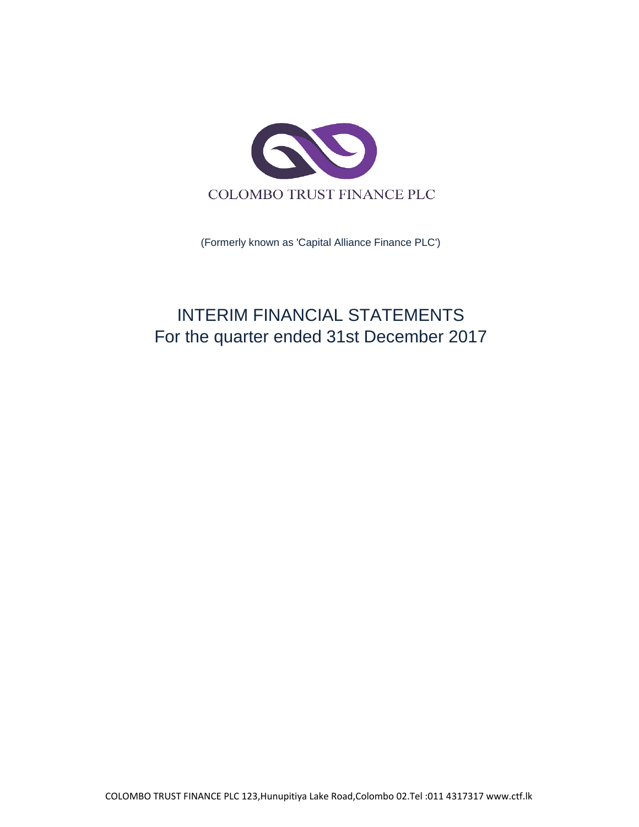

(Formerly known as 'Capital Alliance Finance PLC')

# INTERIM FINANCIAL STATEMENTS For the quarter ended 31st December 2017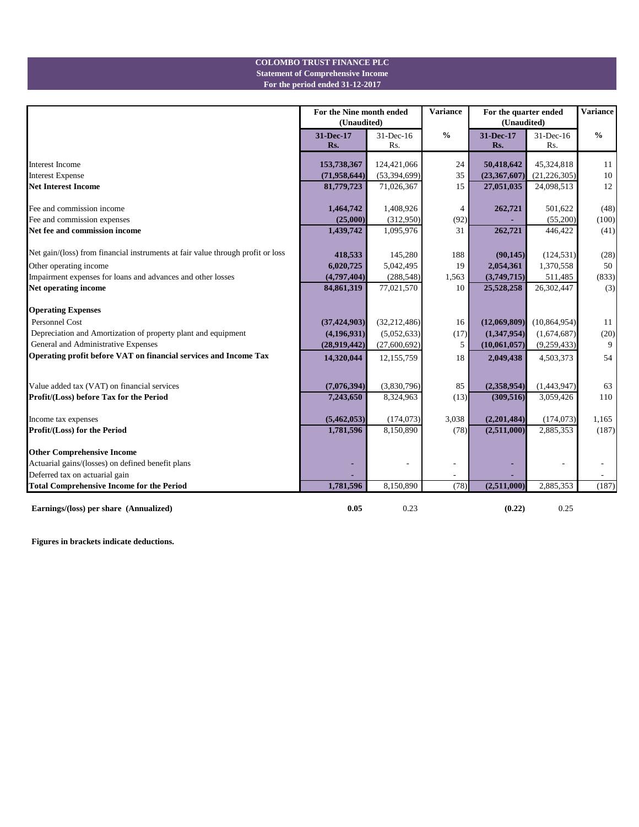## **For the period ended 31-12-2017 Statement of Comprehensive Income COLOMBO TRUST FINANCE PLC**

|                                                                                 | For the Nine month ended<br>(Unaudited) |                          | <b>Variance</b>          | For the quarter ended<br>(Unaudited) |                          | <b>Variance</b> |
|---------------------------------------------------------------------------------|-----------------------------------------|--------------------------|--------------------------|--------------------------------------|--------------------------|-----------------|
|                                                                                 | 31-Dec-17<br>Rs.                        | 31-Dec-16<br>Rs.         | $\frac{6}{6}$            | 31-Dec-17<br>Rs.                     | $31$ -Dec-16<br>Rs.      | $\frac{0}{0}$   |
| <b>Interest Income</b>                                                          | 153,738,367                             | 124,421,066              | 24                       | 50,418,642                           | 45,324,818               | 11              |
| <b>Interest Expense</b>                                                         | (71, 958, 644)                          | (53, 394, 699)           | 35                       | (23, 367, 607)                       | (21, 226, 305)           | 10              |
| <b>Net Interest Income</b>                                                      | 81,779,723                              | 71,026,367               | 15                       | 27,051,035                           | 24,098,513               | 12              |
| Fee and commission income                                                       | 1,464,742                               | 1,408,926                | 4                        | 262,721                              | 501,622                  | (48)            |
| Fee and commission expenses                                                     | (25,000)                                | (312,950)                | (92)                     |                                      | (55,200)                 | (100)           |
| Net fee and commission income                                                   | 1,439,742                               | 1,095,976                | 31                       | 262,721                              | 446,422                  | (41)            |
| Net gain/(loss) from financial instruments at fair value through profit or loss | 418,533                                 | 145,280                  | 188                      | (90, 145)                            | (124, 531)               | (28)            |
| Other operating income                                                          | 6,020,725                               | 5,042,495                | 19                       | 2,054,361                            | 1,370,558                | 50              |
| Impairment expenses for loans and advances and other losses                     | (4,797,404)                             | (288, 548)               | 1,563                    | (3,749,715)                          | 511,485                  | (833)           |
| Net operating income                                                            | 84,861,319                              | 77,021,570               | 10                       | 25,528,258                           | 26,302,447               | (3)             |
| <b>Operating Expenses</b>                                                       |                                         |                          |                          |                                      |                          |                 |
| <b>Personnel Cost</b>                                                           | (37, 424, 903)                          | (32, 212, 486)           | 16                       | (12,069,809)                         | (10, 864, 954)           | 11              |
| Depreciation and Amortization of property plant and equipment                   | (4, 196, 931)                           | (5,052,633)              | (17)                     | (1,347,954)                          | (1,674,687)              | (20)            |
| General and Administrative Expenses                                             | (28,919,442)                            | (27,600,692)             | 5                        | (10,061,057)                         | (9,259,433)              | 9               |
| Operating profit before VAT on financial services and Income Tax                | 14,320,044                              | 12,155,759               | 18                       | 2,049,438                            | 4,503,373                | 54              |
|                                                                                 |                                         |                          |                          |                                      |                          |                 |
| Value added tax (VAT) on financial services                                     | (7,076,394)                             | (3,830,796)              | 85                       | (2,358,954)                          | (1,443,947)              | 63              |
| Profit/(Loss) before Tax for the Period                                         | 7,243,650                               | 8,324,963                | (13)                     | (309, 516)                           | 3,059,426                | 110             |
| Income tax expenses                                                             | (5,462,053)                             | (174, 073)               | 3,038                    | (2,201,484)                          | (174, 073)               | 1,165           |
| Profit/(Loss) for the Period                                                    | 1,781,596                               | 8,150,890                | (78)                     | (2,511,000)                          | 2,885,353                | (187)           |
| <b>Other Comprehensive Income</b>                                               |                                         |                          |                          |                                      |                          |                 |
| Actuarial gains/(losses) on defined benefit plans                               | ٠                                       | $\overline{\phantom{a}}$ | $\overline{\phantom{a}}$ | ٠                                    | $\overline{\phantom{a}}$ |                 |
| Deferred tax on actuarial gain                                                  |                                         |                          | $\qquad \qquad -$        |                                      |                          |                 |
| <b>Total Comprehensive Income for the Period</b>                                | 1,781,596                               | 8,150,890                | (78)                     | (2,511,000)                          | 2,885,353                | (187)           |
| Earnings/(loss) per share (Annualized)                                          | 0.05                                    | 0.23                     |                          | (0.22)                               | 0.25                     |                 |

**Figures in brackets indicate deductions.**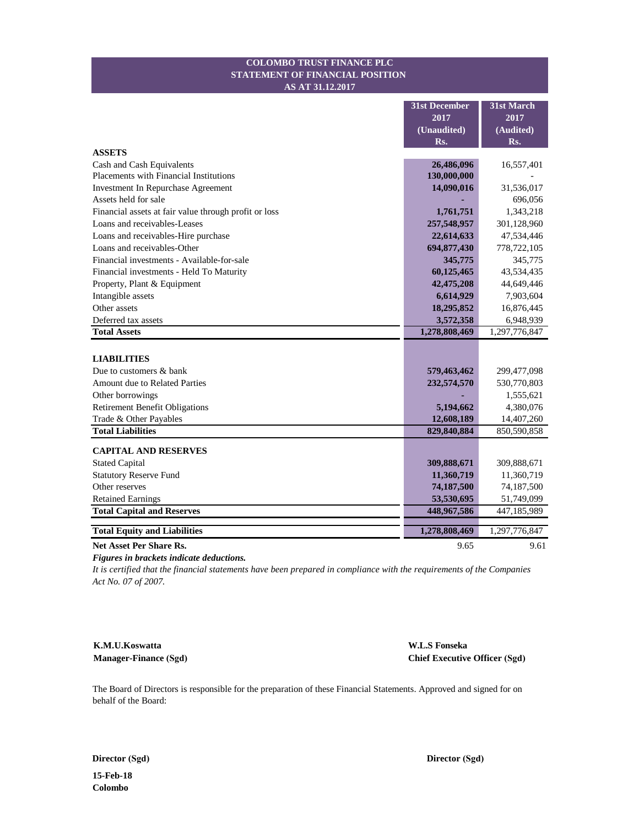#### **STATEMENT OF FINANCIAL POSITION COLOMBO TRUST FINANCE PLC AS AT 31.12.2017**

|                                                       | <b>31st December</b> | 31st March    |
|-------------------------------------------------------|----------------------|---------------|
|                                                       | 2017                 | 2017          |
|                                                       | (Unaudited)          | (Audited)     |
|                                                       | Rs.                  | Rs.           |
| <b>ASSETS</b>                                         |                      |               |
| Cash and Cash Equivalents                             | 26,486,096           | 16,557,401    |
| <b>Placements with Financial Institutions</b>         | 130,000,000          |               |
| <b>Investment In Repurchase Agreement</b>             | 14,090,016           | 31,536,017    |
| Assets held for sale                                  |                      | 696,056       |
| Financial assets at fair value through profit or loss | 1,761,751            | 1,343,218     |
| Loans and receivables-Leases                          | 257,548,957          | 301,128,960   |
| Loans and receivables-Hire purchase                   | 22,614,633           | 47,534,446    |
| Loans and receivables-Other                           | 694,877,430          | 778,722,105   |
| Financial investments - Available-for-sale            | 345,775              | 345,775       |
| Financial investments - Held To Maturity              | 60,125,465           | 43,534,435    |
| Property, Plant & Equipment                           | 42,475,208           | 44,649,446    |
| Intangible assets                                     | 6,614,929            | 7,903,604     |
| Other assets                                          | 18,295,852           | 16,876,445    |
| Deferred tax assets                                   | 3,572,358            | 6,948,939     |
| <b>Total Assets</b>                                   | 1,278,808,469        | 1,297,776,847 |
|                                                       |                      |               |
| <b>LIABILITIES</b>                                    |                      |               |
| Due to customers & bank                               | 579,463,462          | 299,477,098   |
| <b>Amount due to Related Parties</b>                  | 232,574,570          | 530,770,803   |
| Other borrowings                                      |                      | 1,555,621     |
| <b>Retirement Benefit Obligations</b>                 | 5,194,662            | 4,380,076     |
| Trade & Other Payables                                | 12,608,189           | 14,407,260    |
| <b>Total Liabilities</b>                              | 829,840,884          | 850,590,858   |
| <b>CAPITAL AND RESERVES</b>                           |                      |               |
| <b>Stated Capital</b>                                 | 309,888,671          | 309,888,671   |
| <b>Statutory Reserve Fund</b>                         | 11,360,719           | 11,360,719    |
| Other reserves                                        | 74,187,500           | 74,187,500    |
| <b>Retained Earnings</b>                              | 53,530,695           | 51,749,099    |
| <b>Total Capital and Reserves</b>                     | 448,967,586          | 447,185,989   |
|                                                       |                      |               |
| <b>Total Equity and Liabilities</b>                   | 1,278,808,469        | 1,297,776,847 |
| Net Asset Per Share Rs.                               | 9.65                 | 9.61          |

*Figures in brackets indicate deductions.*

*It is certified that the financial statements have been prepared in compliance with the requirements of the Companies Act No. 07 of 2007.*

**K.M.U.Koswatta Manager-Finance (Sgd)**

**W.L.S Fonseka Chief Executive Officer (Sgd)**

The Board of Directors is responsible for the preparation of these Financial Statements. Approved and signed for on behalf of the Board:

**Director (Sgd) Director (Sgd)** 

**15-Feb-18 Colombo**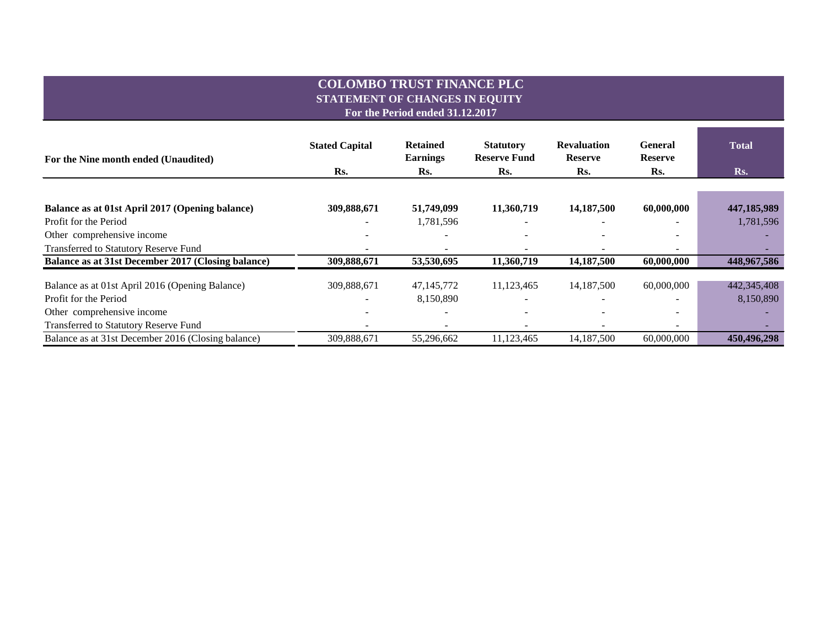## **COLOMBO TRUST FINANCE PLC STATEMENT OF CHANGES IN EQUITY**

**For the Period ended 31.12.2017**

| For the Nine month ended (Unaudited)               | <b>Stated Capital</b> | <b>Retained</b><br><b>Earnings</b> | <b>Statutory</b><br><b>Reserve Fund</b> | <b>Revaluation</b><br><b>Reserve</b> | <b>General</b><br><b>Reserve</b> | <b>Total</b> |
|----------------------------------------------------|-----------------------|------------------------------------|-----------------------------------------|--------------------------------------|----------------------------------|--------------|
|                                                    | Rs.                   | Rs.                                | Rs.                                     | Rs.                                  | Rs.                              | Rs.          |
|                                                    |                       |                                    |                                         |                                      |                                  |              |
| Balance as at 01st April 2017 (Opening balance)    | 309,888,671           | 51,749,099                         | 11,360,719                              | 14,187,500                           | 60,000,000                       | 447,185,989  |
| Profit for the Period                              |                       | 1,781,596                          |                                         |                                      |                                  | 1,781,596    |
| Other comprehensive income                         |                       |                                    |                                         |                                      |                                  |              |
| <b>Transferred to Statutory Reserve Fund</b>       |                       |                                    |                                         |                                      | $\overline{\phantom{0}}$         |              |
| Balance as at 31st December 2017 (Closing balance) | 309,888,671           | 53,530,695                         | 11,360,719                              | 14,187,500                           | 60,000,000                       | 448,967,586  |
| Balance as at 01st April 2016 (Opening Balance)    | 309,888,671           | 47, 145, 772                       | 11,123,465                              | 14,187,500                           | 60,000,000                       | 442,345,408  |
| Profit for the Period                              |                       | 8,150,890                          |                                         | $\overline{\phantom{a}}$             |                                  | 8,150,890    |
| Other comprehensive income                         |                       |                                    |                                         |                                      |                                  |              |
| <b>Transferred to Statutory Reserve Fund</b>       |                       |                                    |                                         |                                      | $\overline{\phantom{a}}$         |              |
| Balance as at 31st December 2016 (Closing balance) | 309,888,671           | 55,296,662                         | 11,123,465                              | 14,187,500                           | 60,000,000                       | 450,496,298  |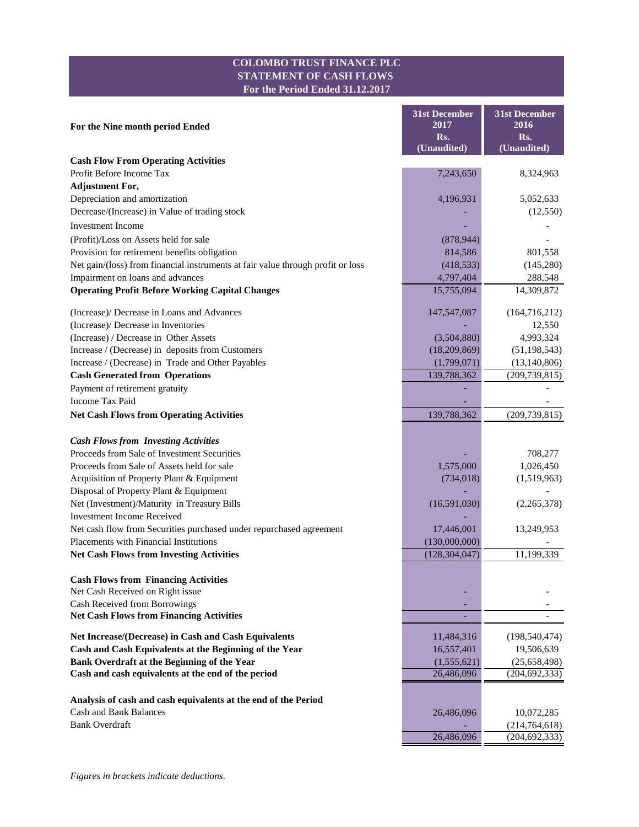## **COLOMBO TRUST FINANCE PLC STATEMENT OF CASH FLOWS For the Period Ended 31.12.2017**

|                                                                                 | <b>31st December</b><br>2017 | <b>31st December</b><br>2016 |
|---------------------------------------------------------------------------------|------------------------------|------------------------------|
| For the Nine month period Ended                                                 | Rs.                          | Rs.                          |
|                                                                                 | (Unaudited)                  | (Unaudited)                  |
| <b>Cash Flow From Operating Activities</b>                                      |                              |                              |
| Profit Before Income Tax                                                        | 7,243,650                    | 8,324,963                    |
| <b>Adjustment For,</b>                                                          |                              |                              |
| Depreciation and amortization                                                   | 4,196,931                    | 5,052,633                    |
| Decrease/(Increase) in Value of trading stock                                   |                              | (12, 550)                    |
| <b>Investment Income</b>                                                        |                              |                              |
| (Profit)/Loss on Assets held for sale                                           | (878, 944)                   |                              |
| Provision for retirement benefits obligation                                    | 814,586                      | 801,558                      |
| Net gain/(loss) from financial instruments at fair value through profit or loss | (418, 533)                   | (145,280)                    |
| Impairment on loans and advances                                                | 4,797,404                    | 288,548                      |
| <b>Operating Profit Before Working Capital Changes</b>                          | 15,755,094                   | 14,309,872                   |
|                                                                                 |                              |                              |
| (Increase)/ Decrease in Loans and Advances                                      | 147,547,087                  | (164, 716, 212)              |
| (Increase)/ Decrease in Inventories                                             |                              | 12,550                       |
| (Increase) / Decrease in Other Assets                                           | (3,504,880)                  | 4,993,324                    |
| Increase / (Decrease) in deposits from Customers                                | (18,209,869)                 | (51, 198, 543)               |
| Increase / (Decrease) in Trade and Other Payables                               | (1,799,071)                  | (13, 140, 806)               |
| <b>Cash Generated from Operations</b>                                           | 139,788,362                  | (209, 739, 815)              |
| Payment of retirement gratuity                                                  |                              |                              |
| Income Tax Paid                                                                 |                              |                              |
| <b>Net Cash Flows from Operating Activities</b>                                 | 139,788,362                  | (209, 739, 815)              |
| <b>Cash Flows from Investing Activities</b>                                     |                              |                              |
| Proceeds from Sale of Investment Securities                                     |                              | 708,277                      |
| Proceeds from Sale of Assets held for sale                                      | 1,575,000                    | 1,026,450                    |
| Acquisition of Property Plant & Equipment                                       | (734, 018)                   | (1,519,963)                  |
| Disposal of Property Plant & Equipment                                          |                              |                              |
| Net (Investment)/Maturity in Treasury Bills                                     | (16,591,030)                 | (2,265,378)                  |
| <b>Investment Income Received</b>                                               |                              |                              |
| Net cash flow from Securities purchased under repurchased agreement             | 17,446,001                   | 13,249,953                   |
| Placements with Financial Institutions                                          | (130,000,000)                |                              |
| <b>Net Cash Flows from Investing Activities</b>                                 | (128, 304, 047)              | 11,199,339                   |
|                                                                                 |                              |                              |
| <b>Cash Flows from Financing Activities</b>                                     |                              |                              |
| Net Cash Received on Right issue                                                |                              |                              |
| Cash Received from Borrowings                                                   |                              |                              |
| <b>Net Cash Flows from Financing Activities</b>                                 |                              |                              |
| Net Increase/(Decrease) in Cash and Cash Equivalents                            | 11,484,316                   | (198, 540, 474)              |
| Cash and Cash Equivalents at the Beginning of the Year                          | 16,557,401                   | 19,506,639                   |
| Bank Overdraft at the Beginning of the Year                                     | (1,555,621)                  | (25, 658, 498)               |
| Cash and cash equivalents at the end of the period                              | 26,486,096                   | (204, 692, 333)              |
|                                                                                 |                              |                              |
| Analysis of cash and cash equivalents at the end of the Period                  |                              |                              |
| <b>Cash and Bank Balances</b>                                                   | 26,486,096                   | 10,072,285                   |
| <b>Bank Overdraft</b>                                                           |                              | (214, 764, 618)              |
|                                                                                 | 26,486,096                   | (204, 692, 333)              |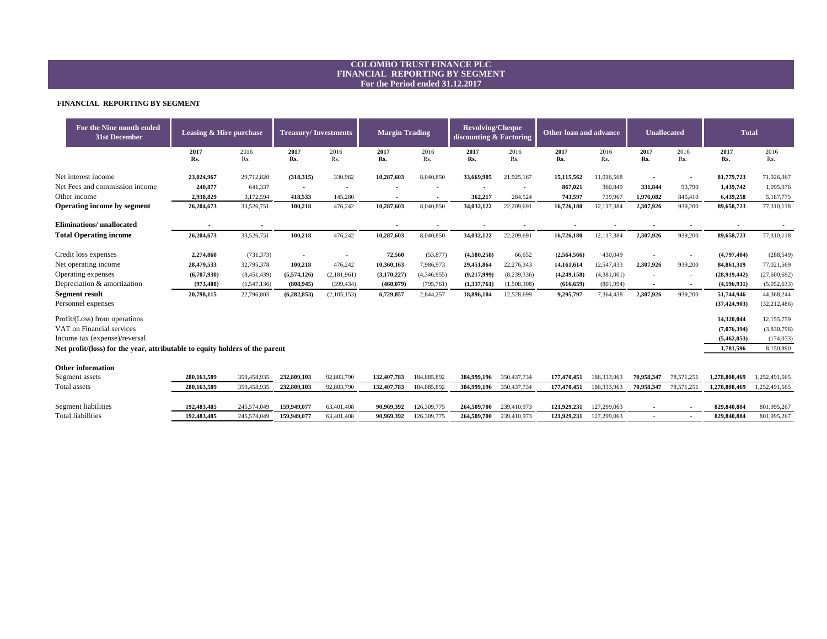#### **FINANCIAL REPORTING BY SEGMENT**

| For the Nine month ended<br><b>31st December</b>                             | Leasing & Hire purchase |             | <b>Margin Trading</b><br><b>Treasury/Investments</b> |             |             | <b>Revolving/Cheque</b><br>discounting & Factoring |               | <b>Other loan and advance</b> |             | <b>Unallocated</b> |                          | <b>Total</b>             |                |                |
|------------------------------------------------------------------------------|-------------------------|-------------|------------------------------------------------------|-------------|-------------|----------------------------------------------------|---------------|-------------------------------|-------------|--------------------|--------------------------|--------------------------|----------------|----------------|
|                                                                              | 2017<br>Rs.             | 2016<br>Rs. | 2017<br>Rs.                                          | 2016<br>Rs. | 2017<br>Rs. | 2016<br>Rs.                                        | 2017<br>Rs.   | 2016<br>Rs.                   | 2017<br>Rs. | 2016<br>Rs.        | 2017<br>Rs.              | 2016<br>Rs.              | 2017<br>Rs.    | 2016<br>Rs.    |
| Net interest income                                                          | 23,024,967              | 29,712,820  | (318, 315)                                           | 330,962     | 10,287,603  | 8,040,850                                          | 33,669,905    | 21,925,167                    | 15,115,562  | 11,016,568         |                          |                          | 81,779,723     | 71,026,367     |
| Net Fees and commission income                                               | 240,877                 | 641,337     | $\sim$                                               |             |             |                                                    |               | $\overline{\phantom{a}}$      | 867,021     | 360,849            | 331,844                  | 93,790                   | 1,439,742      | 1,095,976      |
| Other income                                                                 | 2,938,829               | 3,172,594   | 418,533                                              | 145,280     |             |                                                    | 362,217       | 284,524                       | 743,597     | 739,967            | 1,976,082                | 845,410                  | 6,439,258      | 5,187,775      |
| <b>Operating income by segment</b>                                           | 26,204,673              | 33,526,751  | 100,218                                              | 476,242     | 10,287,603  | 8,040,850                                          | 34,032,122    | 22,209,691                    | 16,726,180  | 12,117,384         | 2,307,926                | 939,200                  | 89,658,723     | 77,310,118     |
| Eliminations/ unallocated                                                    |                         |             |                                                      |             |             |                                                    |               |                               |             |                    |                          |                          |                |                |
| <b>Total Operating income</b>                                                | 26,204,673              | 33,526,751  | 100,218                                              | 476,242     | 10,287,603  | 8,040,850                                          | 34,032,122    | 22,209,691                    | 16,726,180  | 12,117,384         | 2,307,926                | 939,200                  | 89,658,723     | 77,310,118     |
| Credit loss expenses                                                         | 2,274,860               | (731, 373)  | $\blacksquare$                                       |             | 72,560      | (53, 877)                                          | (4,580,258)   | 66,652                        | (2,564,566) | 430,049            |                          | $\overline{\phantom{a}}$ | (4,797,404)    | (288, 549)     |
| Net operating income                                                         | 28,479,533              | 32,795,378  | 100,218                                              | 476,242     | 10,360,163  | 7,986,973                                          | 29,451,864    | 22,276,343                    | 14,161,614  | 12,547,433         | 2,307,926                | 939,200                  | 84,861,319     | 77,021,569     |
| Operating expenses                                                           | (6,707,930)             | (8,451,439) | (5,574,126)                                          | (2,181,961) | (3,170,227) | (4,346,955)                                        | (9,217,999)   | (8,239,336)                   | (4,249,158) | (4,381,001)        | $\sim$                   |                          | (28,919,442)   | (27,600,692)   |
| Depreciation & amortization                                                  | (973, 488)              | (1,547,136) | (808, 945)                                           | (399, 434)  | (460, 079)  | (795, 761)                                         | (1, 337, 761) | (1,508,308)                   | (616, 659)  | (801,994)          | $\sim$                   | $\sim$                   | (4,196,931)    | (5,052,633)    |
| <b>Segment result</b>                                                        | 20,798,115              | 22,796,803  | (6,282,853)                                          | (2,105,153) | 6,729,857   | 2,844,257                                          | 18,896,104    | 12,528,699                    | 9,295,797   | 7,364,438          | 2,307,926                | 939,200                  | 51,744,946     | 44,368,244     |
| Personnel expenses                                                           |                         |             |                                                      |             |             |                                                    |               |                               |             |                    |                          |                          | (37, 424, 903) | (32, 212, 486) |
| Profit/(Loss) from operations                                                |                         |             |                                                      |             |             |                                                    |               |                               |             |                    |                          |                          | 14,320,044     | 12,155,759     |
| VAT on Financial services                                                    |                         |             |                                                      |             |             |                                                    |               |                               |             |                    |                          |                          | (7,076,394)    | (3,830,796)    |
| Income tax (expense)/reversal                                                |                         |             |                                                      |             |             |                                                    |               |                               |             |                    |                          |                          | (5,462,053)    | (174, 073)     |
| Net profit/(loss) for the year, attributable to equity holders of the parent |                         |             |                                                      |             |             |                                                    |               |                               |             |                    |                          |                          | 1,781,596      | 8,150,890      |
| <b>Other information</b>                                                     |                         |             |                                                      |             |             |                                                    |               |                               |             |                    |                          |                          |                |                |
| Segment assets                                                               | 280,163,589             | 359,458,935 | 232,809,103                                          | 92,803,790  | 132,407,783 | 184,885,892                                        | 384,999,196   | 350, 437, 734                 | 177,470,451 | 186,333,963        | 70,958,347               | 78,571,251               | 1,278,808,469  | 1,252,491,565  |
| Total assets                                                                 | 280,163,589             | 359,458,935 | 232,809,103                                          | 92,803,790  | 132,407,783 | 184,885,892                                        | 384,999,196   | 350, 437, 734                 | 177,470,451 | 186,333,963        | 70,958,347               | 78,571,251               | 1,278,808,469  | 1,252,491,565  |
| Segment liabilities                                                          | 192,483,485             | 245,574,049 | 159,949,077                                          | 63,401,408  | 90,969,392  | 126,309,775                                        | 264,509,700   | 239,410,973                   | 121,929,231 | 127,299,063        |                          |                          | 829,840,884    | 801,995,267    |
| <b>Total liabilities</b>                                                     | 192,483,485             | 245,574,049 | 159,949,077                                          | 63,401,408  | 90,969,392  | 126,309,775                                        | 264,509,700   | 239,410,973                   | 121,929,231 | 127,299,063        | $\overline{\phantom{a}}$ | $\overline{\phantom{a}}$ | 829,840,884    | 801,995,267    |

| 177.470.451 | 186,333 |
|-------------|---------|
| 177.470.451 | 186,333 |
|             |         |
| 121,929,231 | 127,299 |
| 121,929,231 | 127,299 |
|             |         |

### **COLOMBO TRUST FINANCE PLC FINANCIAL REPORTING BY SEGMENT For the Period ended 31.12.2017**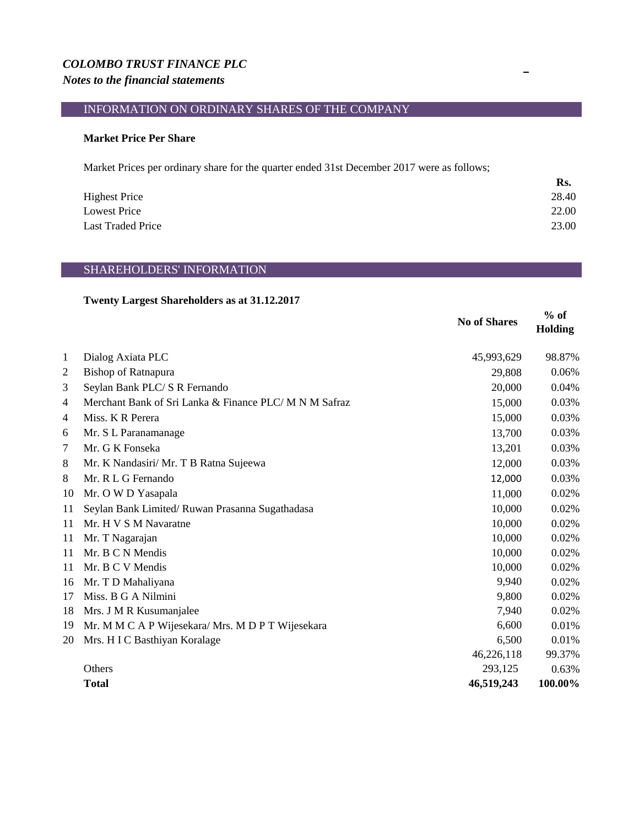#### *COLOMBO TRUST FINANCE PLC Notes to the financial statements*

## INFORMATION ON ORDINARY SHARES OF THE COMPANY

#### **Market Price Per Share**

Market Prices per ordinary share for the quarter ended 31st December 2017 were as follows;

|                          | Rs.   |
|--------------------------|-------|
| <b>Highest Price</b>     | 28.40 |
| <b>Lowest Price</b>      | 22.00 |
| <b>Last Traded Price</b> | 23.00 |

#### SHAREHOLDERS' INFORMATION

#### **Twenty Largest Shareholders as at 31.12.2017**

|                |                                                        | <b>No of Shares</b> | $%$ of<br><b>Holding</b> |
|----------------|--------------------------------------------------------|---------------------|--------------------------|
| 1              | Dialog Axiata PLC                                      | 45,993,629          | 98.87%                   |
| $\overline{2}$ | <b>Bishop of Ratnapura</b>                             | 29,808              | 0.06%                    |
| 3              | Seylan Bank PLC/S R Fernando                           | 20,000              | 0.04%                    |
| $\overline{4}$ | Merchant Bank of Sri Lanka & Finance PLC/ M N M Safraz | 15,000              | 0.03%                    |
| $\overline{4}$ | Miss. K R Perera                                       | 15,000              | 0.03%                    |
| 6              | Mr. S L Paranamanage                                   | 13,700              | 0.03%                    |
| 7              | Mr. G K Fonseka                                        | 13,201              | 0.03%                    |
| 8              | Mr. K Nandasiri/ Mr. T B Ratna Sujeewa                 | 12,000              | 0.03%                    |
| 8              | Mr. R L G Fernando                                     | 12,000              | 0.03%                    |
| 10             | Mr. O W D Yasapala                                     | 11,000              | 0.02%                    |
| 11             | Seylan Bank Limited/Ruwan Prasanna Sugathadasa         | 10,000              | 0.02%                    |
| 11             | Mr. H V S M Navaratne                                  | 10,000              | 0.02%                    |
| 11             | Mr. T Nagarajan                                        | 10,000              | 0.02%                    |
| 11             | Mr. B C N Mendis                                       | 10,000              | 0.02%                    |
| 11             | Mr. B C V Mendis                                       | 10,000              | 0.02%                    |
| 16             | Mr. T D Mahaliyana                                     | 9,940               | 0.02%                    |
| 17             | Miss. B G A Nilmini                                    | 9,800               | 0.02%                    |
| 18             | Mrs. J M R Kusumanjalee                                | 7,940               | 0.02%                    |
| 19             | Mr. M M C A P Wijesekara/ Mrs. M D P T Wijesekara      | 6,600               | 0.01%                    |
| 20             | Mrs. H I C Basthiyan Koralage                          | 6,500               | 0.01%                    |
|                |                                                        | 46,226,118          | 99.37%                   |
|                | Others                                                 | 293,125             | 0.63%                    |
|                | <b>Total</b>                                           | 46,519,243          | 100.00%                  |